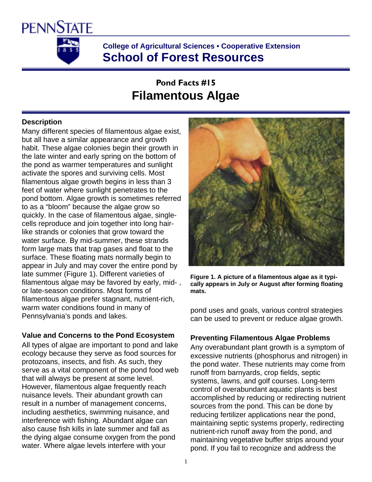

**College of Agricultural Sciences • Cooperative Extension School of Forest Resources** 

# **Pond Facts #15 Filamentous Algae**

## **Description**

Many different species of filamentous algae exist, but all have a similar appearance and growth habit. These algae colonies begin their growth in the late winter and early spring on the bottom of the pond as warmer temperatures and sunlight activate the spores and surviving cells. Most filamentous algae growth begins in less than 3 feet of water where sunlight penetrates to the pond bottom. Algae growth is sometimes referred to as a "bloom" because the algae grow so quickly. In the case of filamentous algae, singlecells reproduce and join together into long hairlike strands or colonies that grow toward the water surface. By mid-summer, these strands form large mats that trap gases and float to the surface. These floating mats normally begin to appear in July and may cover the entire pond by late summer (Figure 1). Different varieties of filamentous algae may be favored by early, mid- , or late-season conditions. Most forms of filamentous algae prefer stagnant, nutrient-rich, warm water conditions found in many of Pennsylvania's ponds and lakes.

## **Value and Concerns to the Pond Ecosystem**

All types of algae are important to pond and lake ecology because they serve as food sources for protozoans, insects, and fish. As such, they serve as a vital component of the pond food web that will always be present at some level. However, filamentous algae frequently reach nuisance levels. Their abundant growth can result in a number of management concerns, including aesthetics, swimming nuisance, and interference with fishing. Abundant algae can also cause fish kills in late summer and fall as the dying algae consume oxygen from the pond water. Where algae levels interfere with your



**Figure 1. A picture of a filamentous algae as it typically appears in July or August after forming floating mats.**

pond uses and goals, various control strategies can be used to prevent or reduce algae growth.

## **Preventing Filamentous Algae Problems**

Any overabundant plant growth is a symptom of excessive nutrients (phosphorus and nitrogen) in the pond water. These nutrients may come from runoff from barnyards, crop fields, septic systems, lawns, and golf courses. Long-term control of overabundant aquatic plants is best accomplished by reducing or redirecting nutrient sources from the pond. This can be done by reducing fertilizer applications near the pond, maintaining septic systems properly, redirecting nutrient-rich runoff away from the pond, and maintaining vegetative buffer strips around your pond. If you fail to recognize and address the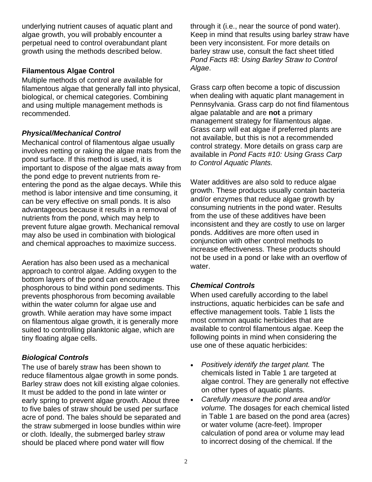underlying nutrient causes of aquatic plant and algae growth, you will probably encounter a perpetual need to control overabundant plant growth using the methods described below.

#### **Filamentous Algae Control**

Multiple methods of control are available for filamentous algae that generally fall into physical, biological, or chemical categories. Combining and using multiple management methods is recommended.

## *Physical/Mechanical Control*

Mechanical control of filamentous algae usually involves netting or raking the algae mats from the pond surface. If this method is used, it is important to dispose of the algae mats away from the pond edge to prevent nutrients from reentering the pond as the algae decays. While this method is labor intensive and time consuming, it can be very effective on small ponds. It is also advantageous because it results in a removal of nutrients from the pond, which may help to prevent future algae growth. Mechanical removal may also be used in combination with biological and chemical approaches to maximize success.

Aeration has also been used as a mechanical approach to control algae. Adding oxygen to the bottom layers of the pond can encourage phosphorous to bind within pond sediments. This prevents phosphorous from becoming available within the water column for algae use and growth. While aeration may have some impact on filamentous algae growth, it is generally more suited to controlling planktonic algae, which are tiny floating algae cells.

## *Biological Controls*

The use of barely straw has been shown to reduce filamentous algae growth in some ponds. Barley straw does not kill existing algae colonies. It must be added to the pond in late winter or early spring to prevent algae growth. About three to five bales of straw should be used per surface acre of pond. The bales should be separated and the straw submerged in loose bundles within wire or cloth. Ideally, the submerged barley straw should be placed where pond water will flow

through it (i.e., near the source of pond water). Keep in mind that results using barley straw have been very inconsistent. For more details on barley straw use, consult the fact sheet titled *Pond Facts #8: Using Barley Straw to Control Algae*.

Grass carp often become a topic of discussion when dealing with aquatic plant management in Pennsylvania. Grass carp do not find filamentous algae palatable and are **not** a primary management strategy for filamentous algae. Grass carp will eat algae if preferred plants are not available, but this is not a recommended control strategy. More details on grass carp are available in *Pond Facts #10: Using Grass Carp to Control Aquatic Plants.*

Water additives are also sold to reduce algae growth. These products usually contain bacteria and/or enzymes that reduce algae growth by consuming nutrients in the pond water. Results from the use of these additives have been inconsistent and they are costly to use on larger ponds. Additives are more often used in conjunction with other control methods to increase effectiveness. These products should not be used in a pond or lake with an overflow of water.

## *Chemical Controls*

When used carefully according to the label instructions, aquatic herbicides can be safe and effective management tools. Table 1 lists the most common aquatic herbicides that are available to control filamentous algae. Keep the following points in mind when considering the use one of these aquatic herbicides:

- *Positively identify the target plant.* The chemicals listed in Table 1 are targeted at algae control. They are generally not effective on other types of aquatic plants.
- *Carefully measure the pond area and/or volume.* The dosages for each chemical listed in Table 1 are based on the pond area (acres) or water volume (acre-feet). Improper calculation of pond area or volume may lead to incorrect dosing of the chemical. If the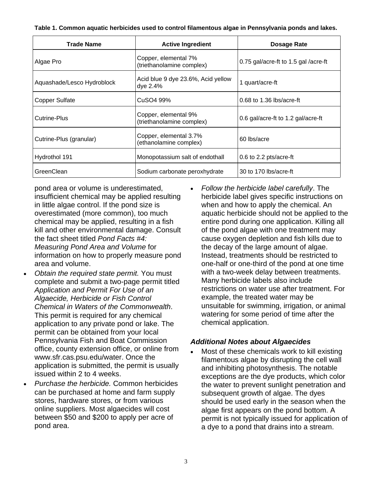**Table 1. Common aquatic herbicides used to control filamentous algae in Pennsylvania ponds and lakes.** 

| <b>Trade Name</b>          | <b>Active Ingredient</b>                          | <b>Dosage Rate</b>                   |
|----------------------------|---------------------------------------------------|--------------------------------------|
| Algae Pro                  | Copper, elemental 7%<br>(triethanolamine complex) | 0.75 gal/acre-ft to 1.5 gal /acre-ft |
| Aquashade/Lesco Hydroblock | Acid blue 9 dye 23.6%, Acid yellow<br>dye 2.4%    | 1 quart/acre-ft                      |
| <b>Copper Sulfate</b>      | CuSO4 99%                                         | $0.68$ to 1.36 lbs/acre-ft           |
| Cutrine-Plus               | Copper, elemental 9%<br>(triethanolamine complex) | 0.6 gal/acre-ft to 1.2 gal/acre-ft   |
| Cutrine-Plus (granular)    | Copper, elemental 3.7%<br>(ethanolamine complex)  | 60 lbs/acre                          |
| Hydrothol 191              | Monopotassium salt of endothall                   | 0.6 to 2.2 pts/acre-ft               |
| GreenClean                 | Sodium carbonate peroxhydrate                     | 30 to 170 lbs/acre-ft                |

pond area or volume is underestimated, insufficient chemical may be applied resulting in little algae control. If the pond size is overestimated (more common), too much chemical may be applied, resulting in a fish kill and other environmental damage. Consult the fact sheet titled *Pond Facts #4: Measuring Pond Area and Volume* for information on how to properly measure pond area and volume.

- *Obtain the required state permit.* You must complete and submit a two-page permit titled *Application and Permit For Use of an Algaecide, Herbicide or Fish Control Chemical in Waters of the Commonwealth*. This permit is required for any chemical application to any private pond or lake. The permit can be obtained from your local Pennsylvania Fish and Boat Commission office, county extension office, or online from www.sfr.cas.psu.edu/water. Once the application is submitted, the permit is usually issued within 2 to 4 weeks.
- *Purchase the herbicide.* Common herbicides can be purchased at home and farm supply stores, hardware stores, or from various online suppliers. Most algaecides will cost between \$50 and \$200 to apply per acre of pond area.

• *Follow the herbicide label carefully*. The herbicide label gives specific instructions on when and how to apply the chemical. An aquatic herbicide should not be applied to the entire pond during one application. Killing all of the pond algae with one treatment may cause oxygen depletion and fish kills due to the decay of the large amount of algae. Instead, treatments should be restricted to one-half or one-third of the pond at one time with a two-week delay between treatments. Many herbicide labels also include restrictions on water use after treatment. For example, the treated water may be unsuitable for swimming, irrigation, or animal watering for some period of time after the chemical application.

#### *Additional Notes about Algaecides*

• Most of these chemicals work to kill existing filamentous algae by disrupting the cell wall and inhibiting photosynthesis. The notable exceptions are the dye products, which color the water to prevent sunlight penetration and subsequent growth of algae. The dyes should be used early in the season when the algae first appears on the pond bottom. A permit is not typically issued for application of a dye to a pond that drains into a stream.